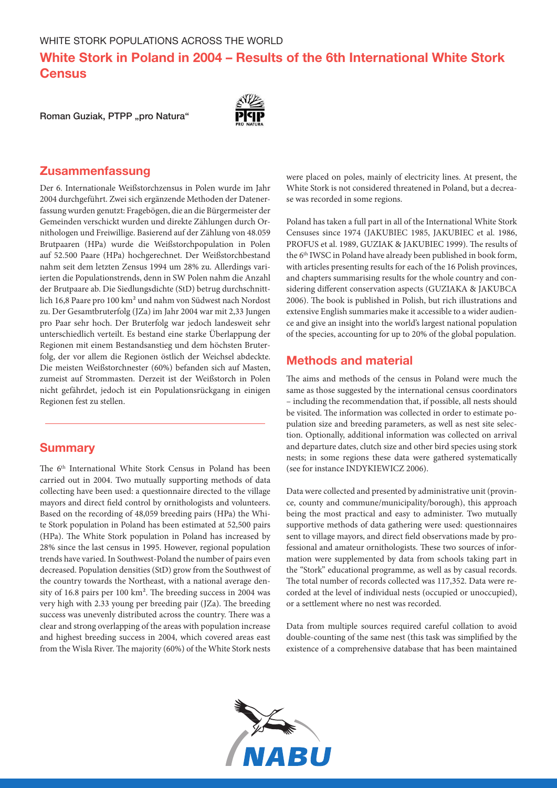White Stork in Poland in 2004 – Results of the 6th International White Stork **Census** 

Roman Guziak, PTPP "pro Natura"



### Zusammenfassung

Der 6. Internationale Weißstorchzensus in Polen wurde im Jahr 2004 durchgeführt. Zwei sich ergänzende Methoden der Datenerfassung wurden genutzt: Fragebögen, die an die Bürgermeister der Gemeinden verschickt wurden und direkte Zählungen durch Ornithologen und Freiwillige. Basierend auf der Zählung von 48.059 Brutpaaren (HPa) wurde die Weißstorchpopulation in Polen auf 52.500 Paare (HPa) hochgerechnet. Der Weißstorchbestand nahm seit dem letzten Zensus 1994 um 28% zu. Allerdings variierten die Populationstrends, denn in SW Polen nahm die Anzahl der Brutpaare ab. Die Siedlungsdichte (StD) betrug durchschnittlich 16,8 Paare pro 100 km² und nahm von Südwest nach Nordost zu. Der Gesamtbruterfolg (JZa) im Jahr 2004 war mit 2,33 Jungen pro Paar sehr hoch. Der Bruterfolg war jedoch landesweit sehr unterschiedlich verteilt. Es bestand eine starke Überlappung der Regionen mit einem Bestandsanstieg und dem höchsten Bruterfolg, der vor allem die Regionen östlich der Weichsel abdeckte. Die meisten Weißstorchnester (60%) befanden sich auf Masten, zumeist auf Strommasten. Derzeit ist der Weißstorch in Polen nicht gefährdet, jedoch ist ein Populationsrückgang in einigen Regionen fest zu stellen.

### **Summary**

The 6<sup>th</sup> International White Stork Census in Poland has been carried out in 2004. Two mutually supporting methods of data collecting have been used: a questionnaire directed to the village mayors and direct field control by ornithologists and volunteers. Based on the recording of 48,059 breeding pairs (HPa) the White Stork population in Poland has been estimated at 52,500 pairs (HPa). The White Stork population in Poland has increased by 28% since the last census in 1995. However, regional population trends have varied. In Southwest-Poland the number of pairs even decreased. Population densities (StD) grow from the Southwest of the country towards the Northeast, with a national average density of 16.8 pairs per 100 km². The breeding success in 2004 was very high with 2.33 young per breeding pair (JZa). The breeding success was unevenly distributed across the country. There was a clear and strong overlapping of the areas with population increase and highest breeding success in 2004, which covered areas east from the Wisla River. The majority (60%) of the White Stork nests

were placed on poles, mainly of electricity lines. At present, the White Stork is not considered threatened in Poland, but a decrease was recorded in some regions.

Poland has taken a full part in all of the International White Stork Censuses since 1974 (JAKUBIEC 1985, JAKUBIEC et al. 1986, PROFUS et al. 1989, GUZIAK & JAKUBIEC 1999). The results of the 6<sup>th</sup> IWSC in Poland have already been published in book form, with articles presenting results for each of the 16 Polish provinces, and chapters summarising results for the whole country and considering different conservation aspects (GUZIAKA & JAKUBCA 2006). The book is published in Polish, but rich illustrations and extensive English summaries make it accessible to a wider audience and give an insight into the world's largest national population of the species, accounting for up to 20% of the global population.

## Methods and material

The aims and methods of the census in Poland were much the same as those suggested by the international census coordinators – including the recommendation that, if possible, all nests should be visited. The information was collected in order to estimate population size and breeding parameters, as well as nest site selection. Optionally, additional information was collected on arrival and departure dates, clutch size and other bird species using stork nests; in some regions these data were gathered systematically (see for instance INDYKIEWICZ 2006).

Data were collected and presented by administrative unit (province, county and commune/municipality/borough), this approach being the most practical and easy to administer. Two mutually supportive methods of data gathering were used: questionnaires sent to village mayors, and direct field observations made by professional and amateur ornithologists. These two sources of information were supplemented by data from schools taking part in the "Stork" educational programme, as well as by casual records. The total number of records collected was 117,352. Data were recorded at the level of individual nests (occupied or unoccupied), or a settlement where no nest was recorded.

Data from multiple sources required careful collation to avoid double-counting of the same nest (this task was simplified by the existence of a comprehensive database that has been maintained

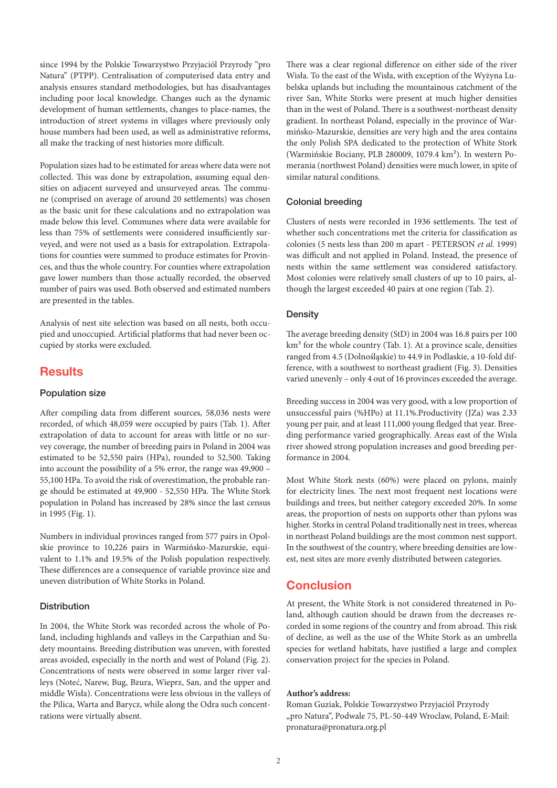since 1994 by the Polskie Towarzystwo Przyjaciól Przyrody "pro Natura" (PTPP). Centralisation of computerised data entry and analysis ensures standard methodologies, but has disadvantages including poor local knowledge. Changes such as the dynamic development of human settlements, changes to place-names, the introduction of street systems in villages where previously only house numbers had been used, as well as administrative reforms, all make the tracking of nest histories more difficult.

Population sizes had to be estimated for areas where data were not collected. This was done by extrapolation, assuming equal densities on adjacent surveyed and unsurveyed areas. The commune (comprised on average of around 20 settlements) was chosen as the basic unit for these calculations and no extrapolation was made below this level. Communes where data were available for less than 75% of settlements were considered insufficiently surveyed, and were not used as a basis for extrapolation. Extrapolations for counties were summed to produce estimates for Provinces, and thus the whole country. For counties where extrapolation gave lower numbers than those actually recorded, the observed number of pairs was used. Both observed and estimated numbers are presented in the tables.

Analysis of nest site selection was based on all nests, both occupied and unoccupied. Artificial platforms that had never been occupied by storks were excluded.

### **Results**

### Population size

After compiling data from different sources, 58,036 nests were recorded, of which 48,059 were occupied by pairs (Tab. 1). After extrapolation of data to account for areas with little or no survey coverage, the number of breeding pairs in Poland in 2004 was estimated to be 52,550 pairs (HPa), rounded to 52,500. Taking into account the possibility of a 5% error, the range was 49,900 – 55,100 HPa. To avoid the risk of overestimation, the probable range should be estimated at 49,900 - 52,550 HPa. The White Stork population in Poland has increased by 28% since the last census in 1995 (Fig. 1).

Numbers in individual provinces ranged from 577 pairs in Opolskie province to 10,226 pairs in Warmińsko-Mazurskie, equivalent to 1.1% and 19.5% of the Polish population respectively. These differences are a consequence of variable province size and uneven distribution of White Storks in Poland.

#### **Distribution**

In 2004, the White Stork was recorded across the whole of Poland, including highlands and valleys in the Carpathian and Sudety mountains. Breeding distribution was uneven, with forested areas avoided, especially in the north and west of Poland (Fig. 2). Concentrations of nests were observed in some larger river valleys (Noteć, Narew, Bug, Bzura, Wieprz, San, and the upper and middle Wisła). Concentrations were less obvious in the valleys of the Pilica, Warta and Barycz, while along the Odra such concentrations were virtually absent.

There was a clear regional difference on either side of the river Wisła. To the east of the Wisła, with exception of the Wyżyna Lubelska uplands but including the mountainous catchment of the river San, White Storks were present at much higher densities than in the west of Poland. There is a southwest-northeast density gradient. In northeast Poland, especially in the province of Warmińsko-Mazurskie, densities are very high and the area contains the only Polish SPA dedicated to the protection of White Stork (Warmińskie Bociany, PLB 280009, 1079.4 km²). In western Pomerania (northwest Poland) densities were much lower, in spite of similar natural conditions.

#### Colonial breeding

Clusters of nests were recorded in 1936 settlements. The test of whether such concentrations met the criteria for classification as colonies (5 nests less than 200 m apart - PETERSON *et al.* 1999) was difficult and not applied in Poland. Instead, the presence of nests within the same settlement was considered satisfactory. Most colonies were relatively small clusters of up to 10 pairs, although the largest exceeded 40 pairs at one region (Tab. 2).

#### **Density**

The average breeding density (StD) in 2004 was 16.8 pairs per 100 km² for the whole country (Tab. 1). At a province scale, densities ranged from 4.5 (Dolnośląskie) to 44.9 in Podlaskie, a 10-fold difference, with a southwest to northeast gradient (Fig. 3). Densities varied unevenly – only 4 out of 16 provinces exceeded the average.

Breeding success in 2004 was very good, with a low proportion of unsuccessful pairs (%HPo) at 11.1%.Productivity (JZa) was 2.33 young per pair, and at least 111,000 young fledged that year. Breeding performance varied geographically. Areas east of the Wisla river showed strong population increases and good breeding performance in 2004.

Most White Stork nests (60%) were placed on pylons, mainly for electricity lines. The next most frequent nest locations were buildings and trees, but neither category exceeded 20%. In some areas, the proportion of nests on supports other than pylons was higher. Storks in central Poland traditionally nest in trees, whereas in northeast Poland buildings are the most common nest support. In the southwest of the country, where breeding densities are lowest, nest sites are more evenly distributed between categories.

## **Conclusion**

At present, the White Stork is not considered threatened in Poland, although caution should be drawn from the decreases recorded in some regions of the country and from abroad. This risk of decline, as well as the use of the White Stork as an umbrella species for wetland habitats, have justified a large and complex conservation project for the species in Poland.

#### **Author's address:**

Roman Guziak, Polskie Towarzystwo Przyjaciól Przyrody "pro Natura", Podwale 75, PL-50-449 Wroclaw, Poland, E-Mail: pronatura@pronatura.org.pl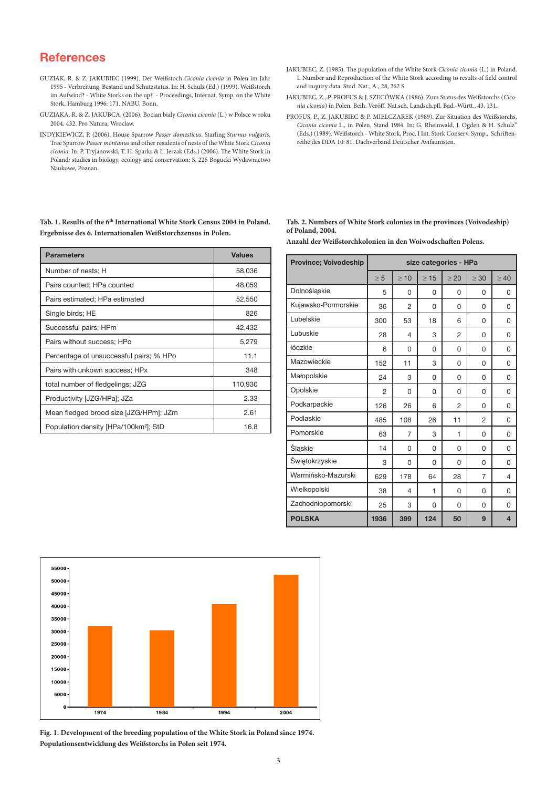## **References**

- GUZIAK, R. & Z. JAKUBIEC (1999). Der Weißstoch *Ciconia ciconia* in Polen im Jahr 1995 - Verbreitung, Bestand und Schutzstatus. In: H. Schulz (Ed.) (1999). Weißstorch im Aufwind? - White Storks on the up? - Proceedings, Internat. Symp. on the White Stork, Hamburg 1996: 171. NABU, Bonn.
- GUZIAKA, R. & Z. JAKUBCA, (2006). Bocian bialy *Ciconia ciconia* (L.) w Polsce w roku 2004. 432. Pro Natura, Wroclaw.
- INDYKIEWICZ, P. (2006). House Sparrow *Passer domesticus*, Starling *Sturnus vulgaris*, Tree Sparrow *Passer montanus* and other residents of nests of the White Stork *Ciconia ciconia*. In: P. Tryjanowski, T. H. Sparks & L. Jerzak (Eds.) (2006). The White Stork in Poland: studies in biology, ecology and conservation: S. 225 Bogucki Wydawnictwo Naukowe, Poznan.

Tab. 1. Results of the 6<sup>th</sup> International White Stork Census 2004 in Poland. **Ergebnisse des 6. Internationalen Weißstorchzensus in Polen.** 

| <b>Parameters</b>                                 | <b>Values</b> |
|---------------------------------------------------|---------------|
| Number of nests; H                                | 58,036        |
| Pairs counted; HPa counted                        | 48,059        |
| Pairs estimated; HPa estimated                    | 52,550        |
| Single birds; HE                                  | 826           |
| Successful pairs; HPm                             | 42,432        |
| Pairs without success; HPo                        | 5,279         |
| Percentage of unsuccessful pairs; % HPo           | 11.1          |
| Pairs with unkown success; HPx                    | 348           |
| total number of fledgelings; JZG                  | 110,930       |
| Productivity [JZG/HPa]; JZa                       | 2.33          |
| Mean fledged brood size [JZG/HPm]; JZm            | 2.61          |
| Population density [HPa/100km <sup>2</sup> ]; StD | 16.8          |

- JAKUBIEC, Z. (1985). The population of the White Stork *Ciconia ciconia* (L.) in Poland. I. Number and Reproduction of the White Stork according to results of field control and inquiry data. Stud. Nat., A., 28, 262 S.
- JAKUBIEC, Z., P. PROFUS & J. SZECÓWKA (1986). Zum Status des Weißstorchs (*Ciconia ciconia*) in Polen. Beih. Veröff. Nat.sch. Landsch.pfl. Bad.-Württ., 43, 131.
- PROFUS, P., Z. JAKUBIEC & P. MIELCZAREK (1989). Zur Situation des Weißstorchs, *Ciconia ciconia* L., in Polen, Stand 1984. In: G. Rheinwald, J. Ogden & H. Schulz" (Eds.) (1989). Weißstorch - White Stork, Proc. I Int. Stork Conserv. Symp., Schriftenreihe des DDA 10: 81. Dachverband Deutscher Avifaunisten.

#### **Tab. 2. Numbers of White Stork colonies in the provinces (Voivodeship) of Poland, 2004.**

**Anzahl der Weißstorchkolonien in den Woiwodschaften Polens.**

| <b>Province: Voivodeship</b> | size categories - HPa |                |          |                |                |                |  |
|------------------------------|-----------------------|----------------|----------|----------------|----------------|----------------|--|
|                              | > 5                   | >10            | >15      | > 20           | >30            | >40            |  |
| Dolnośląskie                 | 5                     | 0              | $\Omega$ | 0              | 0              | 0              |  |
| Kujawsko-Pormorskie          | 36                    | 2              | $\Omega$ | 0              | 0              | 0              |  |
| Lubelskie                    | 300                   | 53             | 18       | 6              | 0              | 0              |  |
| Lubuskie                     | 28                    | 4              | 3        | $\overline{2}$ | 0              | 0              |  |
| łódzkie                      | 6                     | 0              | 0        | 0              | 0              | 0              |  |
| Mazowieckie                  | 152                   | 11             | 3        | 0              | 0              | 0              |  |
| Małopolskie                  | 24                    | 3              | 0        | 0              | 0              | 0              |  |
| Opolskie                     | $\overline{2}$        | 0              | 0        | $\Omega$       | 0              | 0              |  |
| Podkarpackie                 | 126                   | 26             | 6        | $\overline{2}$ | 0              | 0              |  |
| Podlaskie                    | 485                   | 108            | 26       | 11             | $\overline{2}$ | 0              |  |
| Pomorskie                    | 63                    | $\overline{7}$ | 3        | $\mathbf{1}$   | 0              | 0              |  |
| Śląskie                      | 14                    | 0              | $\Omega$ | 0              | 0              | 0              |  |
| Świętokrzyskie               | 3                     | 0              | 0        | 0              | 0              | 0              |  |
| Warmińsko-Mazurski           | 629                   | 178            | 64       | 28             | 7              | 4              |  |
| Wielkopolski                 | 38                    | 4              | 1        | 0              | 0              | 0              |  |
| Zachodniopomorski            | 25                    | 3              | 0        | 0              | 0              | 0              |  |
| <b>POLSKA</b>                | 1936                  | 399            | 124      | 50             | 9              | $\overline{4}$ |  |



**Fig. 1. Development of the breeding population of the White Stork in Poland since 1974. Populationsentwicklung des Weißstorchs in Polen seit 1974.**